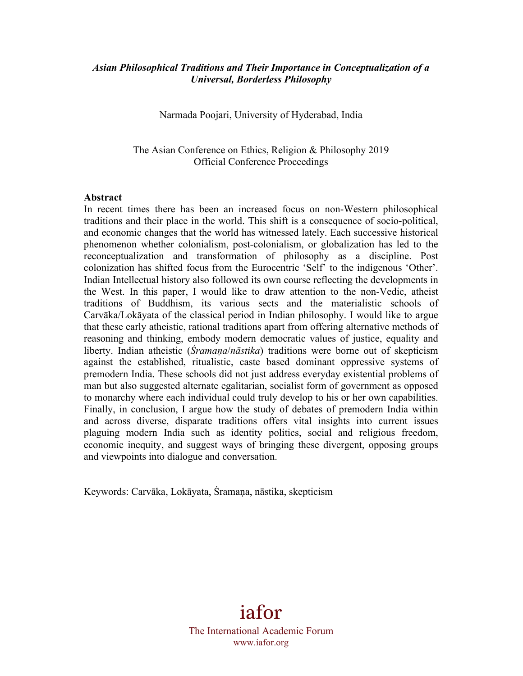## *Asian Philosophical Traditions and Their Importance in Conceptualization of a Universal, Borderless Philosophy*

Narmada Poojari, University of Hyderabad, India

The Asian Conference on Ethics, Religion & Philosophy 2019 Official Conference Proceedings

### **Abstract**

In recent times there has been an increased focus on non-Western philosophical traditions and their place in the world. This shift is a consequence of socio-political, and economic changes that the world has witnessed lately. Each successive historical phenomenon whether colonialism, post-colonialism, or globalization has led to the reconceptualization and transformation of philosophy as a discipline. Post colonization has shifted focus from the Eurocentric 'Self' to the indigenous 'Other'. Indian Intellectual history also followed its own course reflecting the developments in the West. In this paper, I would like to draw attention to the non-Vedic, atheist traditions of Buddhism, its various sects and the materialistic schools of Carvāka/Lokāyata of the classical period in Indian philosophy. I would like to argue that these early atheistic, rational traditions apart from offering alternative methods of reasoning and thinking, embody modern democratic values of justice, equality and liberty. Indian atheistic (*Śramaṇa*/*nāstika*) traditions were borne out of skepticism against the established, ritualistic, caste based dominant oppressive systems of premodern India. These schools did not just address everyday existential problems of man but also suggested alternate egalitarian, socialist form of government as opposed to monarchy where each individual could truly develop to his or her own capabilities. Finally, in conclusion, I argue how the study of debates of premodern India within and across diverse, disparate traditions offers vital insights into current issues plaguing modern India such as identity politics, social and religious freedom, economic inequity, and suggest ways of bringing these divergent, opposing groups and viewpoints into dialogue and conversation.

Keywords: Carvāka, Lokāyata, Śramaṇa, nāstika, skepticism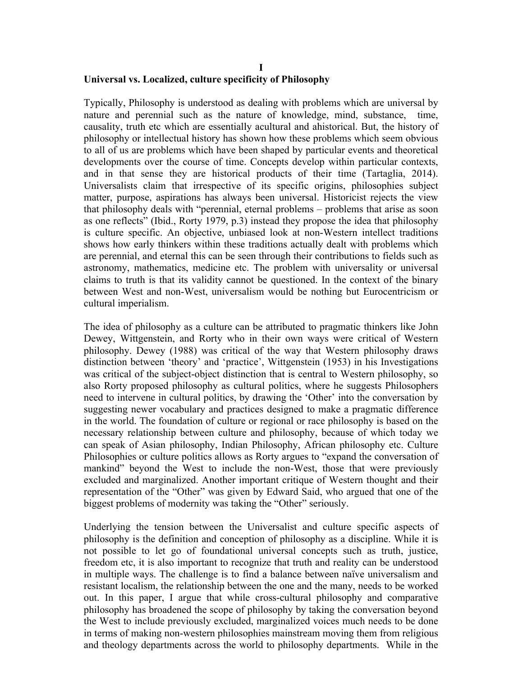### **I Universal vs. Localized, culture specificity of Philosophy**

Typically, Philosophy is understood as dealing with problems which are universal by nature and perennial such as the nature of knowledge, mind, substance, time, causality, truth etc which are essentially acultural and ahistorical. But, the history of philosophy or intellectual history has shown how these problems which seem obvious to all of us are problems which have been shaped by particular events and theoretical developments over the course of time. Concepts develop within particular contexts, and in that sense they are historical products of their time (Tartaglia, 2014). Universalists claim that irrespective of its specific origins, philosophies subject matter, purpose, aspirations has always been universal. Historicist rejects the view that philosophy deals with "perennial, eternal problems – problems that arise as soon as one reflects" (Ibid., Rorty 1979, p.3) instead they propose the idea that philosophy is culture specific. An objective, unbiased look at non-Western intellect traditions shows how early thinkers within these traditions actually dealt with problems which are perennial, and eternal this can be seen through their contributions to fields such as astronomy, mathematics, medicine etc. The problem with universality or universal claims to truth is that its validity cannot be questioned. In the context of the binary between West and non-West, universalism would be nothing but Eurocentricism or cultural imperialism.

The idea of philosophy as a culture can be attributed to pragmatic thinkers like John Dewey, Wittgenstein, and Rorty who in their own ways were critical of Western philosophy. Dewey (1988) was critical of the way that Western philosophy draws distinction between 'theory' and 'practice', Wittgenstein (1953) in his Investigations was critical of the subject-object distinction that is central to Western philosophy, so also Rorty proposed philosophy as cultural politics, where he suggests Philosophers need to intervene in cultural politics, by drawing the 'Other' into the conversation by suggesting newer vocabulary and practices designed to make a pragmatic difference in the world. The foundation of culture or regional or race philosophy is based on the necessary relationship between culture and philosophy, because of which today we can speak of Asian philosophy, Indian Philosophy, African philosophy etc. Culture Philosophies or culture politics allows as Rorty argues to "expand the conversation of mankind" beyond the West to include the non-West, those that were previously excluded and marginalized. Another important critique of Western thought and their representation of the "Other" was given by Edward Said, who argued that one of the biggest problems of modernity was taking the "Other" seriously.

Underlying the tension between the Universalist and culture specific aspects of philosophy is the definition and conception of philosophy as a discipline. While it is not possible to let go of foundational universal concepts such as truth, justice, freedom etc, it is also important to recognize that truth and reality can be understood in multiple ways. The challenge is to find a balance between naïve universalism and resistant localism, the relationship between the one and the many, needs to be worked out. In this paper, I argue that while cross-cultural philosophy and comparative philosophy has broadened the scope of philosophy by taking the conversation beyond the West to include previously excluded, marginalized voices much needs to be done in terms of making non-western philosophies mainstream moving them from religious and theology departments across the world to philosophy departments. While in the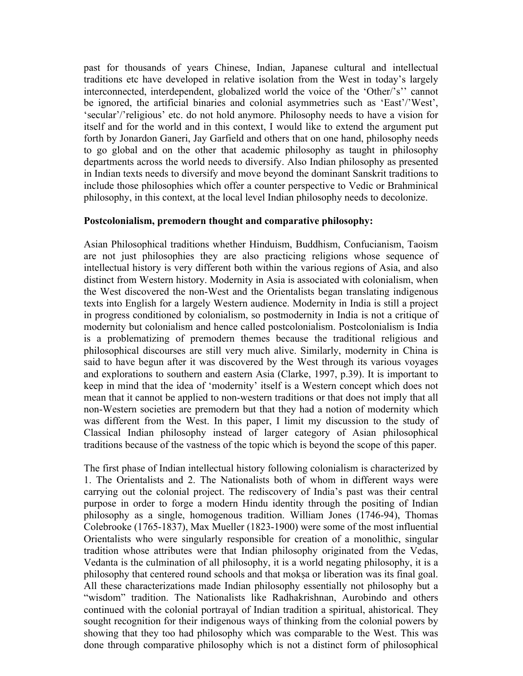past for thousands of years Chinese, Indian, Japanese cultural and intellectual traditions etc have developed in relative isolation from the West in today's largely interconnected, interdependent, globalized world the voice of the 'Other/'s'' cannot be ignored, the artificial binaries and colonial asymmetries such as 'East'/'West', 'secular'/'religious' etc. do not hold anymore. Philosophy needs to have a vision for itself and for the world and in this context, I would like to extend the argument put forth by Jonardon Ganeri, Jay Garfield and others that on one hand, philosophy needs to go global and on the other that academic philosophy as taught in philosophy departments across the world needs to diversify. Also Indian philosophy as presented in Indian texts needs to diversify and move beyond the dominant Sanskrit traditions to include those philosophies which offer a counter perspective to Vedic or Brahminical philosophy, in this context, at the local level Indian philosophy needs to decolonize.

### **Postcolonialism, premodern thought and comparative philosophy:**

Asian Philosophical traditions whether Hinduism, Buddhism, Confucianism, Taoism are not just philosophies they are also practicing religions whose sequence of intellectual history is very different both within the various regions of Asia, and also distinct from Western history. Modernity in Asia is associated with colonialism, when the West discovered the non-West and the Orientalists began translating indigenous texts into English for a largely Western audience. Modernity in India is still a project in progress conditioned by colonialism, so postmodernity in India is not a critique of modernity but colonialism and hence called postcolonialism. Postcolonialism is India is a problematizing of premodern themes because the traditional religious and philosophical discourses are still very much alive. Similarly, modernity in China is said to have begun after it was discovered by the West through its various voyages and explorations to southern and eastern Asia (Clarke, 1997, p.39). It is important to keep in mind that the idea of 'modernity' itself is a Western concept which does not mean that it cannot be applied to non-western traditions or that does not imply that all non-Western societies are premodern but that they had a notion of modernity which was different from the West. In this paper, I limit my discussion to the study of Classical Indian philosophy instead of larger category of Asian philosophical traditions because of the vastness of the topic which is beyond the scope of this paper.

The first phase of Indian intellectual history following colonialism is characterized by 1. The Orientalists and 2. The Nationalists both of whom in different ways were carrying out the colonial project. The rediscovery of India's past was their central purpose in order to forge a modern Hindu identity through the positing of Indian philosophy as a single, homogenous tradition. William Jones (1746-94), Thomas Colebrooke (1765-1837), Max Mueller (1823-1900) were some of the most influential Orientalists who were singularly responsible for creation of a monolithic, singular tradition whose attributes were that Indian philosophy originated from the Vedas, Vedanta is the culmination of all philosophy, it is a world negating philosophy, it is a philosophy that centered round schools and that mokṣa or liberation was its final goal. All these characterizations made Indian philosophy essentially not philosophy but a "wisdom" tradition. The Nationalists like Radhakrishnan, Aurobindo and others continued with the colonial portrayal of Indian tradition a spiritual, ahistorical. They sought recognition for their indigenous ways of thinking from the colonial powers by showing that they too had philosophy which was comparable to the West. This was done through comparative philosophy which is not a distinct form of philosophical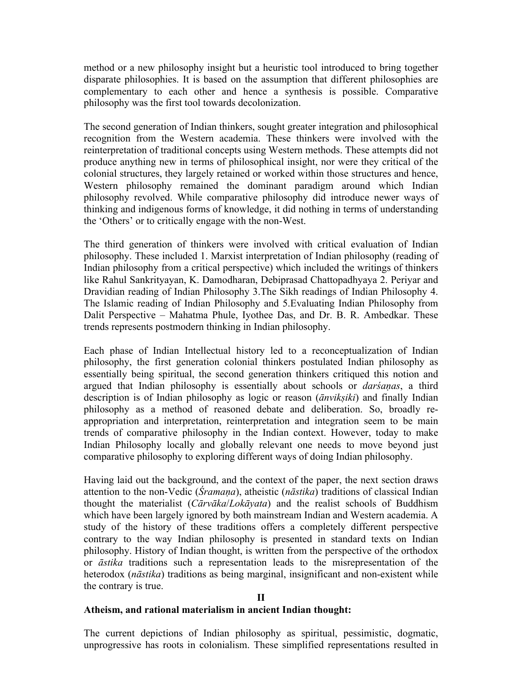method or a new philosophy insight but a heuristic tool introduced to bring together disparate philosophies. It is based on the assumption that different philosophies are complementary to each other and hence a synthesis is possible. Comparative philosophy was the first tool towards decolonization.

The second generation of Indian thinkers, sought greater integration and philosophical recognition from the Western academia. These thinkers were involved with the reinterpretation of traditional concepts using Western methods. These attempts did not produce anything new in terms of philosophical insight, nor were they critical of the colonial structures, they largely retained or worked within those structures and hence, Western philosophy remained the dominant paradigm around which Indian philosophy revolved. While comparative philosophy did introduce newer ways of thinking and indigenous forms of knowledge, it did nothing in terms of understanding the 'Others' or to critically engage with the non-West.

The third generation of thinkers were involved with critical evaluation of Indian philosophy. These included 1. Marxist interpretation of Indian philosophy (reading of Indian philosophy from a critical perspective) which included the writings of thinkers like Rahul Sankrityayan, K. Damodharan, Debiprasad Chattopadhyaya 2. Periyar and Dravidian reading of Indian Philosophy 3.The Sikh readings of Indian Philosophy 4. The Islamic reading of Indian Philosophy and 5.Evaluating Indian Philosophy from Dalit Perspective – Mahatma Phule, Iyothee Das, and Dr. B. R. Ambedkar. These trends represents postmodern thinking in Indian philosophy.

Each phase of Indian Intellectual history led to a reconceptualization of Indian philosophy, the first generation colonial thinkers postulated Indian philosophy as essentially being spiritual, the second generation thinkers critiqued this notion and argued that Indian philosophy is essentially about schools or *darśaṇas*, a third description is of Indian philosophy as logic or reason (*ānvikṣiki*) and finally Indian philosophy as a method of reasoned debate and deliberation. So, broadly reappropriation and interpretation, reinterpretation and integration seem to be main trends of comparative philosophy in the Indian context. However, today to make Indian Philosophy locally and globally relevant one needs to move beyond just comparative philosophy to exploring different ways of doing Indian philosophy.

Having laid out the background, and the context of the paper, the next section draws attention to the non-Vedic (*Śramaṇa*), atheistic (*nāstika*) traditions of classical Indian thought the materialist (*Cārvāka*/*Lokāyata*) and the realist schools of Buddhism which have been largely ignored by both mainstream Indian and Western academia. A study of the history of these traditions offers a completely different perspective contrary to the way Indian philosophy is presented in standard texts on Indian philosophy. History of Indian thought, is written from the perspective of the orthodox or *āstika* traditions such a representation leads to the misrepresentation of the heterodox (*nāstika*) traditions as being marginal, insignificant and non-existent while the contrary is true.

#### **II**

#### **Atheism, and rational materialism in ancient Indian thought:**

The current depictions of Indian philosophy as spiritual, pessimistic, dogmatic, unprogressive has roots in colonialism. These simplified representations resulted in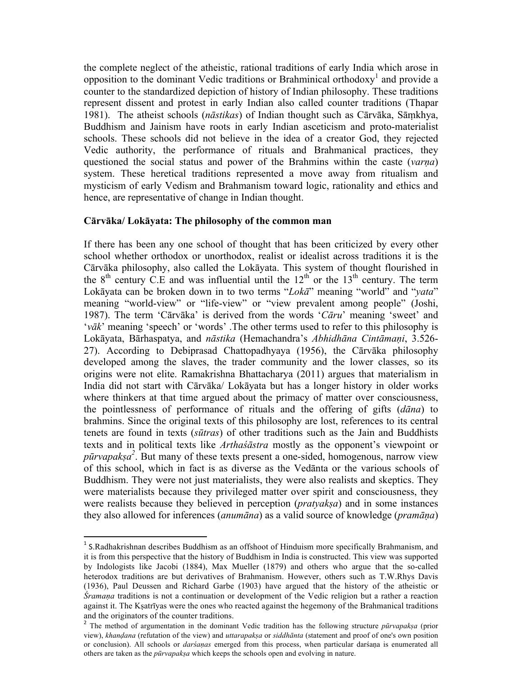the complete neglect of the atheistic, rational traditions of early India which arose in opposition to the dominant Vedic traditions or Brahminical orthodoxy<sup>1</sup> and provide a counter to the standardized depiction of history of Indian philosophy. These traditions represent dissent and protest in early Indian also called counter traditions (Thapar 1981). The atheist schools (*nāstikas*) of Indian thought such as Cārvāka, Sāṃkhya, Buddhism and Jainism have roots in early Indian asceticism and proto-materialist schools. These schools did not believe in the idea of a creator God, they rejected Vedic authority, the performance of rituals and Brahmanical practices, they questioned the social status and power of the Brahmins within the caste (*varṇa*) system. These heretical traditions represented a move away from ritualism and mysticism of early Vedism and Brahmanism toward logic, rationality and ethics and hence, are representative of change in Indian thought.

## **Cārvāka/ Lokāyata: The philosophy of the common man**

If there has been any one school of thought that has been criticized by every other school whether orthodox or unorthodox, realist or idealist across traditions it is the Cārvāka philosophy, also called the Lokāyata. This system of thought flourished in the  $8<sup>th</sup>$  century C.E and was influential until the  $12<sup>th</sup>$  or the  $13<sup>th</sup>$  century. The term Lokāyata can be broken down in to two terms "*Lokā*" meaning "world" and "*yata*" meaning "world-view" or "life-view" or "view prevalent among people" (Joshi, 1987). The term 'Cārvāka' is derived from the words '*Cāru*' meaning 'sweet' and '*vāk*' meaning 'speech' or 'words' .The other terms used to refer to this philosophy is Lokāyata, Bārhaspatya, and *nāstika* (Hemachandra's *Abhidhāna Cintāmaṇi*, 3.526- 27). According to Debiprasad Chattopadhyaya (1956), the Cārvāka philosophy developed among the slaves, the trader community and the lower classes, so its origins were not elite. Ramakrishna Bhattacharya (2011) argues that materialism in India did not start with Cārvāka/ Lokāyata but has a longer history in older works where thinkers at that time argued about the primacy of matter over consciousness, the pointlessness of performance of rituals and the offering of gifts (*dāna*) to brahmins. Since the original texts of this philosophy are lost, references to its central tenets are found in texts (*sūtras*) of other traditions such as the Jain and Buddhists texts and in political texts like *Arthaśāstra* mostly as the opponent's viewpoint or *pūrvapakṣa 2* . But many of these texts present a one-sided, homogenous, narrow view of this school, which in fact is as diverse as the Vedānta or the various schools of Buddhism. They were not just materialists, they were also realists and skeptics. They were materialists because they privileged matter over spirit and consciousness, they were realists because they believed in perception (*pratyakṣa*) and in some instances they also allowed for inferences (*anumāna*) as a valid source of knowledge (*pramāṇa*)

<sup>&</sup>lt;sup>1</sup> S.Radhakrishnan describes Buddhism as an offshoot of Hinduism more specifically Brahmanism, and it is from this perspective that the history of Buddhism in India is constructed. This view was supported by Indologists like Jacobi (1884), Max Mueller (1879) and others who argue that the so-called heterodox traditions are but derivatives of Brahmanism. However, others such as T.W.Rhys Davis (1936), Paul Deussen and Richard Garbe (1903) have argued that the history of the atheistic or *Śramaṇa* traditions is not a continuation or development of the Vedic religion but a rather a reaction against it. The Kṣatrīyas were the ones who reacted against the hegemony of the Brahmanical traditions and the originators of the counter traditions.

<sup>2</sup> The method of argumentation in the dominant Vedic tradition has the following structure *pūrvapakṣa* (prior view), *khanḍana* (refutation of the view) and *uttarapakṣa* or *siddhānta* (statement and proof of one's own position or conclusion). All schools or *darśaṇas* emerged from this process, when particular darśaṇa is enumerated all others are taken as the *pūrvapakṣa* which keeps the schools open and evolving in nature.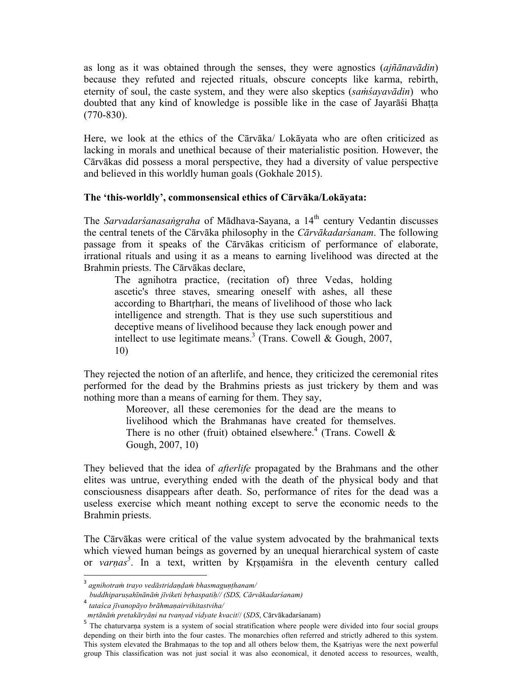as long as it was obtained through the senses, they were agnostics (*ajñānavādin*) because they refuted and rejected rituals, obscure concepts like karma, rebirth, eternity of soul, the caste system, and they were also skeptics (*saṁśayavādin*) who doubted that any kind of knowledge is possible like in the case of Jayarāśi Bhaṭṭa (770-830).

Here, we look at the ethics of the Cārvāka/ Lokāyata who are often criticized as lacking in morals and unethical because of their materialistic position. However, the Cārvākas did possess a moral perspective, they had a diversity of value perspective and believed in this worldly human goals (Gokhale 2015).

## **The 'this-worldly', commonsensical ethics of Cārvāka/Lokāyata:**

The *Sarvadarśanasaṅgraha* of Mādhava-Sayana, a 14th century Vedantin discusses the central tenets of the Cārvāka philosophy in the *Cārvākadarśanam*. The following passage from it speaks of the Cārvākas criticism of performance of elaborate, irrational rituals and using it as a means to earning livelihood was directed at the Brahmin priests. The Cārvākas declare,

The agnihotra practice, (recitation of) three Vedas, holding ascetic's three staves, smearing oneself with ashes, all these according to Bhartrhari, the means of livelihood of those who lack intelligence and strength. That is they use such superstitious and deceptive means of livelihood because they lack enough power and intellect to use legitimate means.<sup>3</sup> (Trans. Cowell & Gough, 2007, 10)

They rejected the notion of an afterlife, and hence, they criticized the ceremonial rites performed for the dead by the Brahmins priests as just trickery by them and was nothing more than a means of earning for them. They say,

> Moreover, all these ceremonies for the dead are the means to livelihood which the Brahmanas have created for themselves. There is no other (fruit) obtained elsewhere.<sup>4</sup> (Trans. Cowell  $\&$ Gough, 2007, 10)

They believed that the idea of *afterlife* propagated by the Brahmans and the other elites was untrue, everything ended with the death of the physical body and that consciousness disappears after death. So, performance of rites for the dead was a useless exercise which meant nothing except to serve the economic needs to the Brahmin priests.

The Cārvākas were critical of the value system advocated by the brahmanical texts which viewed human beings as governed by an unequal hierarchical system of caste or *varṇas 5* . In a text, written by Kṛṣṇamiśra in the eleventh century called

<sup>3</sup> *agnihotraṁ trayo vedāstridaṇḍaṁ bhasmaguṇṭhanam/*

*buddhiparuṣahīnānāṁ jīviketi bṛhaspatiḥ// (SDS, Cārvākadarśanam)*

<sup>4</sup> *tataśca jīvanopāyo brāhmaṇairvihitastviha/*

*mṛtānāṁ pretakāryāṇi na tvanyad vidyate kvacit*// (*SDS*, Cārvākadarśanam)

<sup>&</sup>lt;sup>5</sup> The chaturvarna system is a system of social stratification where people were divided into four social groups depending on their birth into the four castes. The monarchies often referred and strictly adhered to this system. This system elevated the Brahmaṇas to the top and all others below them, the Kṣatriyas were the next powerful group This classification was not just social it was also economical, it denoted access to resources, wealth,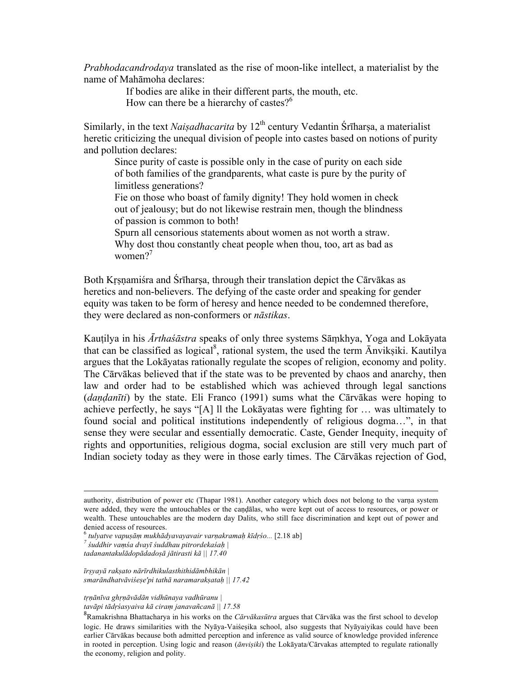*Prabhodacandrodaya* translated as the rise of moon-like intellect, a materialist by the name of Mahāmoha declares:

> If bodies are alike in their different parts, the mouth, etc. How can there be a hierarchy of castes?<sup>6</sup>

Similarly, in the text *Naisadhacarita* by 12<sup>th</sup> century Vedantin Śrīharṣa, a materialist heretic criticizing the unequal division of people into castes based on notions of purity and pollution declares:

Since purity of caste is possible only in the case of purity on each side of both families of the grandparents, what caste is pure by the purity of limitless generations?

Fie on those who boast of family dignity! They hold women in check out of jealousy; but do not likewise restrain men, though the blindness of passion is common to both!

Spurn all censorious statements about women as not worth a straw. Why dost thou constantly cheat people when thou, too, art as bad as women $2^7$ 

Both Krsnamiśra and Śrīharsa, through their translation depict the Cārvākas as heretics and non-believers. The defying of the caste order and speaking for gender equity was taken to be form of heresy and hence needed to be condemned therefore, they were declared as non-conformers or *nāstikas*.

Kauṭilya in his *Ārthaśāstra* speaks of only three systems Sāṃkhya, Yoga and Lokāyata that can be classified as logical<sup>8</sup>, rational system, the used the term Anvikṣiki. Kautilya argues that the Lokāyatas rationally regulate the scopes of religion, economy and polity. The Cārvākas believed that if the state was to be prevented by chaos and anarchy, then law and order had to be established which was achieved through legal sanctions (*daṇḍanīti*) by the state. Eli Franco (1991) sums what the Cārvākas were hoping to achieve perfectly, he says "[A] ll the Lokāyatas were fighting for … was ultimately to found social and political institutions independently of religious dogma…", in that sense they were secular and essentially democratic. Caste, Gender Inequity, inequity of rights and opportunities, religious dogma, social exclusion are still very much part of Indian society today as they were in those early times. The Cārvākas rejection of God,

 

 $^6$  tulyatve vapuşām mukhādyavayavair varņakramaḥ kīdṛśo... [2.18 ab]<br><sup>7</sup> śuddhir vaṃśa dvayī śuddhau pitrordekaśaḥ |

*īrṣyayā rakṣato nārīrdhikulasthithidāmbhikān | smarāndhatvāviśeṣe'pi tathā naramarakṣataḥ || 17.42*

*tṛṇānīva ghṛṇāvādān vidhūnaya vadhūranu | tavāpi tādṛśasyaiva kā ciraṃ janavañcanā || 17.58*

authority, distribution of power etc (Thapar 1981). Another category which does not belong to the varṇa system were added, they were the untouchables or the candalas, who were kept out of access to resources, or power or wealth. These untouchables are the modern day Dalits, who still face discrimination and kept out of power and denied access of resources.

*tadanantakulādopādadoṣā jātirasti kā || 17.40*

<sup>8</sup> Ramakrishna Bhattacharya in his works on the *Cārvākasūtra* argues that Cārvāka was the first school to develop logic. He draws similarities with the Nyāya-Vaiśesika school, also suggests that Nyāyaiyikas could have been earlier Cārvākas because both admitted perception and inference as valid source of knowledge provided inference in rooted in perception. Using logic and reason (*ānviṣiki*) the Lokāyata/Cārvakas attempted to regulate rationally the economy, religion and polity.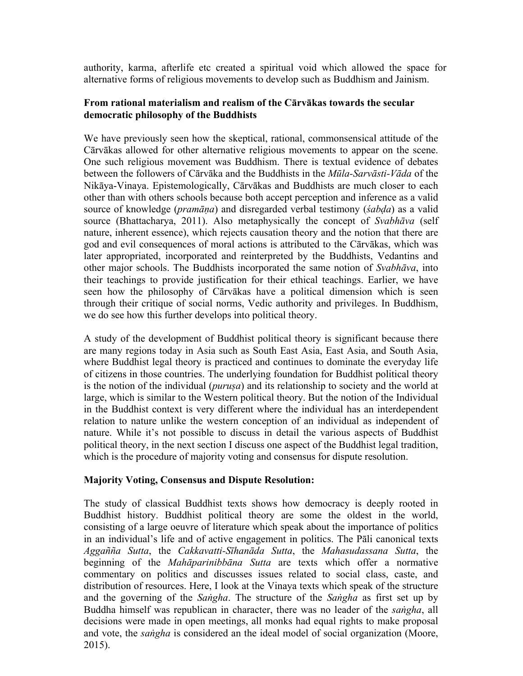authority, karma, afterlife etc created a spiritual void which allowed the space for alternative forms of religious movements to develop such as Buddhism and Jainism.

## **From rational materialism and realism of the Cārvākas towards the secular democratic philosophy of the Buddhists**

We have previously seen how the skeptical, rational, commonsensical attitude of the Cārvākas allowed for other alternative religious movements to appear on the scene. One such religious movement was Buddhism. There is textual evidence of debates between the followers of Cārvāka and the Buddhists in the *Mūla-Sarvāsti-Vāda* of the Nikāya-Vinaya. Epistemologically, Cārvākas and Buddhists are much closer to each other than with others schools because both accept perception and inference as a valid source of knowledge (*pramāṇa*) and disregarded verbal testimony (*śabḍa*) as a valid source (Bhattacharya, 2011). Also metaphysically the concept of *Svabhāva* (self nature, inherent essence), which rejects causation theory and the notion that there are god and evil consequences of moral actions is attributed to the Cārvākas, which was later appropriated, incorporated and reinterpreted by the Buddhists, Vedantins and other major schools. The Buddhists incorporated the same notion of *Svabhāva*, into their teachings to provide justification for their ethical teachings. Earlier, we have seen how the philosophy of Cārvākas have a political dimension which is seen through their critique of social norms, Vedic authority and privileges. In Buddhism, we do see how this further develops into political theory.

A study of the development of Buddhist political theory is significant because there are many regions today in Asia such as South East Asia, East Asia, and South Asia, where Buddhist legal theory is practiced and continues to dominate the everyday life of citizens in those countries. The underlying foundation for Buddhist political theory is the notion of the individual (*puruṣa*) and its relationship to society and the world at large, which is similar to the Western political theory. But the notion of the Individual in the Buddhist context is very different where the individual has an interdependent relation to nature unlike the western conception of an individual as independent of nature. While it's not possible to discuss in detail the various aspects of Buddhist political theory, in the next section I discuss one aspect of the Buddhist legal tradition, which is the procedure of majority voting and consensus for dispute resolution.

## **Majority Voting, Consensus and Dispute Resolution:**

The study of classical Buddhist texts shows how democracy is deeply rooted in Buddhist history. Buddhist political theory are some the oldest in the world, consisting of a large oeuvre of literature which speak about the importance of politics in an individual's life and of active engagement in politics. The Pāli canonical texts *Aggañña Sutta*, the *Cakkavatti-Sīhanāda Sutta*, the *Mahasudassana Sutta*, the beginning of the *Mahāparinibbāna Sutta* are texts which offer a normative commentary on politics and discusses issues related to social class, caste, and distribution of resources. Here, I look at the Vinaya texts which speak of the structure and the governing of the *Saṅgha*. The structure of the *Saṅgha* as first set up by Buddha himself was republican in character, there was no leader of the *saṅgha*, all decisions were made in open meetings, all monks had equal rights to make proposal and vote, the *saṅgha* is considered an the ideal model of social organization (Moore, 2015).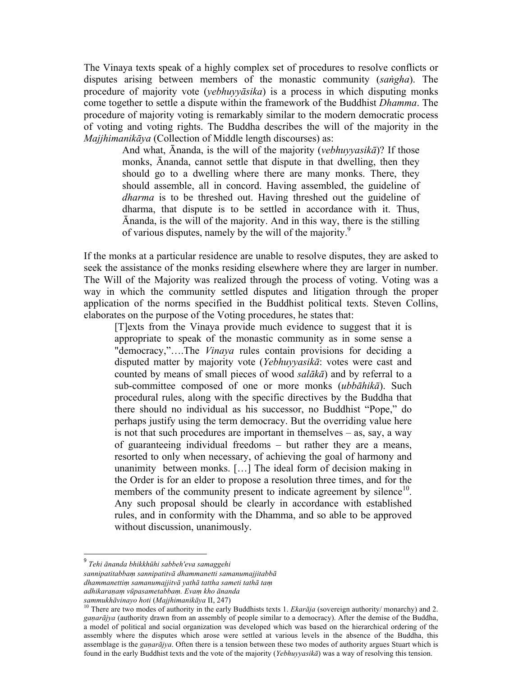The Vinaya texts speak of a highly complex set of procedures to resolve conflicts or disputes arising between members of the monastic community (*saṅgha*). The procedure of majority vote (*yebhuyyāsika*) is a process in which disputing monks come together to settle a dispute within the framework of the Buddhist *Dhamma*. The procedure of majority voting is remarkably similar to the modern democratic process of voting and voting rights. The Buddha describes the will of the majority in the *Majjhimanikāya* (Collection of Middle length discourses) as:

> And what, Ānanda, is the will of the majority (*vebhuyyasikā*)? If those monks, Ānanda, cannot settle that dispute in that dwelling, then they should go to a dwelling where there are many monks. There, they should assemble, all in concord. Having assembled, the guideline of *dharma* is to be threshed out. Having threshed out the guideline of dharma, that dispute is to be settled in accordance with it. Thus, Ānanda, is the will of the majority. And in this way, there is the stilling of various disputes, namely by the will of the majority.<sup>9</sup>

If the monks at a particular residence are unable to resolve disputes, they are asked to seek the assistance of the monks residing elsewhere where they are larger in number. The Will of the Majority was realized through the process of voting. Voting was a way in which the community settled disputes and litigation through the proper application of the norms specified in the Buddhist political texts. Steven Collins, elaborates on the purpose of the Voting procedures, he states that:

[T]exts from the Vinaya provide much evidence to suggest that it is appropriate to speak of the monastic community as in some sense a "democracy,"….The *Vinaya* rules contain provisions for deciding a disputed matter by majority vote (*Yebhuyyasikā*: votes were cast and counted by means of small pieces of wood *salākā*) and by referral to a sub-committee composed of one or more monks (*ubbāhikā*). Such procedural rules, along with the specific directives by the Buddha that there should no individual as his successor, no Buddhist "Pope," do perhaps justify using the term democracy. But the overriding value here is not that such procedures are important in themselves – as, say, a way of guaranteeing individual freedoms – but rather they are a means, resorted to only when necessary, of achieving the goal of harmony and unanimity between monks. […] The ideal form of decision making in the Order is for an elder to propose a resolution three times, and for the members of the community present to indicate agreement by silence<sup>10</sup>. Any such proposal should be clearly in accordance with established rules, and in conformity with the Dhamma, and so able to be approved without discussion, unanimously.

<sup>9</sup> *Tehi ānanda bhikkhūhi sabbeh'eva samaggehi*

*sannipatitabbaṃ sannipatitvā dhammanetti samanumajjitabbā*

*dhammanettiṃ samanumajjitvā yathā tattha sameti tathā taṃ*

*adhikaraṇaṃ vūpasametabbaṃ. Evaṃ kho ānanda*

<sup>&</sup>lt;sup>10</sup> There are two modes of authority in the early Buddhists texts 1. *Ekara<sup>ja</sup>* (sovereign authority/ monarchy) and 2. *gaṇarājya* (authority drawn from an assembly of people similar to a democracy). After the demise of the Buddha, a model of political and social organization was developed which was based on the hierarchical ordering of the assembly where the disputes which arose were settled at various levels in the absence of the Buddha, this assemblage is the *gaṇarājya*. Often there is a tension between these two modes of authority argues Stuart which is found in the early Buddhist texts and the vote of the majority (*Yebhuyyasikā*) was a way of resolving this tension.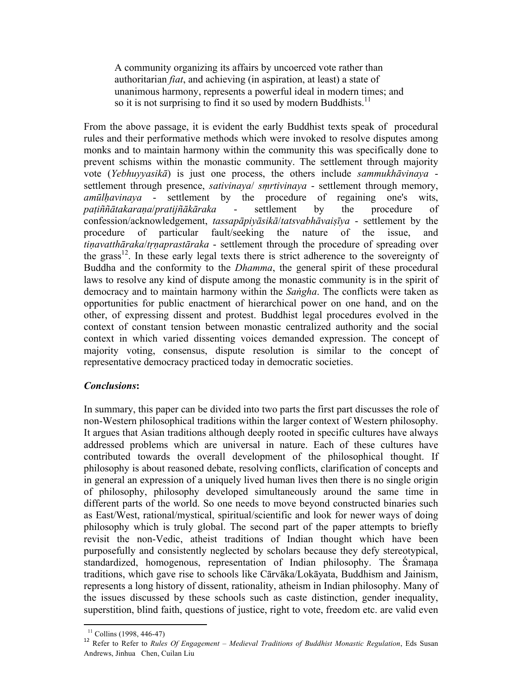A community organizing its affairs by uncoerced vote rather than authoritarian *fiat*, and achieving (in aspiration, at least) a state of unanimous harmony, represents a powerful ideal in modern times; and so it is not surprising to find it so used by modern Buddhists.<sup>11</sup>

From the above passage, it is evident the early Buddhist texts speak of procedural rules and their performative methods which were invoked to resolve disputes among monks and to maintain harmony within the community this was specifically done to prevent schisms within the monastic community. The settlement through majority vote (*Yebhuyyasikā*) is just one process, the others include *sammukhāvinaya* settlement through presence, *sativinaya*/ *sṃrtivinaya* - settlement through memory, *amūlḥavinaya* - settlement by the procedure of regaining one's wits, *paṭiññātakaraṇa*/*pratijñākāraka* - settlement by the procedure of confession/acknowledgement, *tassapāpiyāsikā*/*tatsvabhāvaiṣīya* - settlement by the procedure of particular fault/seeking the nature of the issue, and *tiṇavatthāraka*/*tṛṇaprastāraka* - settlement through the procedure of spreading over the grass<sup>12</sup>. In these early legal texts there is strict adherence to the sovereignty of Buddha and the conformity to the *Dhamma*, the general spirit of these procedural laws to resolve any kind of dispute among the monastic community is in the spirit of democracy and to maintain harmony within the *Saṅgha*. The conflicts were taken as opportunities for public enactment of hierarchical power on one hand, and on the other, of expressing dissent and protest. Buddhist legal procedures evolved in the context of constant tension between monastic centralized authority and the social context in which varied dissenting voices demanded expression. The concept of majority voting, consensus, dispute resolution is similar to the concept of representative democracy practiced today in democratic societies.

# *Conclusions***:**

In summary, this paper can be divided into two parts the first part discusses the role of non-Western philosophical traditions within the larger context of Western philosophy. It argues that Asian traditions although deeply rooted in specific cultures have always addressed problems which are universal in nature. Each of these cultures have contributed towards the overall development of the philosophical thought. If philosophy is about reasoned debate, resolving conflicts, clarification of concepts and in general an expression of a uniquely lived human lives then there is no single origin of philosophy, philosophy developed simultaneously around the same time in different parts of the world. So one needs to move beyond constructed binaries such as East/West, rational/mystical, spiritual/scientific and look for newer ways of doing philosophy which is truly global. The second part of the paper attempts to briefly revisit the non-Vedic, atheist traditions of Indian thought which have been purposefully and consistently neglected by scholars because they defy stereotypical, standardized, homogenous, representation of Indian philosophy. The Śramana traditions, which gave rise to schools like Cārvāka/Lokāyata, Buddhism and Jainism, represents a long history of dissent, rationality, atheism in Indian philosophy. Many of the issues discussed by these schools such as caste distinction, gender inequality, superstition, blind faith, questions of justice, right to vote, freedom etc. are valid even

<sup>11</sup> Collins (1998, 446-47) <sup>12</sup> Refer to Refer to *Rules Of Engagement* – *Medieval Traditions of Buddhist Monastic Regulation*, Eds Susan Andrews, Jinhua Chen, Cuilan Liu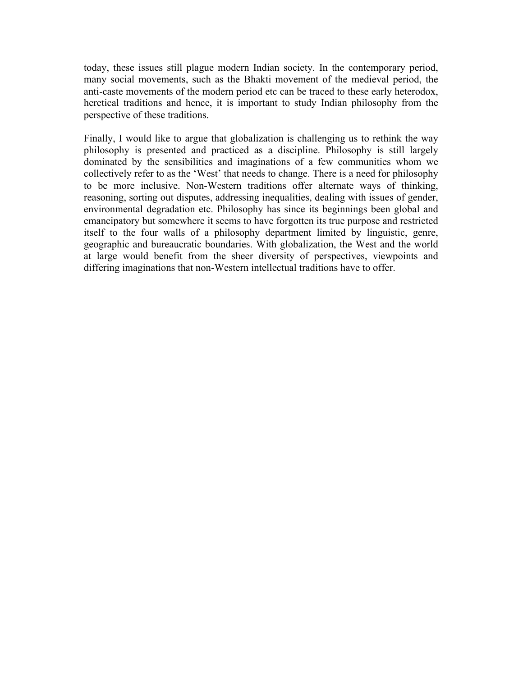today, these issues still plague modern Indian society. In the contemporary period, many social movements, such as the Bhakti movement of the medieval period, the anti-caste movements of the modern period etc can be traced to these early heterodox, heretical traditions and hence, it is important to study Indian philosophy from the perspective of these traditions.

Finally, I would like to argue that globalization is challenging us to rethink the way philosophy is presented and practiced as a discipline. Philosophy is still largely dominated by the sensibilities and imaginations of a few communities whom we collectively refer to as the 'West' that needs to change. There is a need for philosophy to be more inclusive. Non-Western traditions offer alternate ways of thinking, reasoning, sorting out disputes, addressing inequalities, dealing with issues of gender, environmental degradation etc. Philosophy has since its beginnings been global and emancipatory but somewhere it seems to have forgotten its true purpose and restricted itself to the four walls of a philosophy department limited by linguistic, genre, geographic and bureaucratic boundaries. With globalization, the West and the world at large would benefit from the sheer diversity of perspectives, viewpoints and differing imaginations that non-Western intellectual traditions have to offer.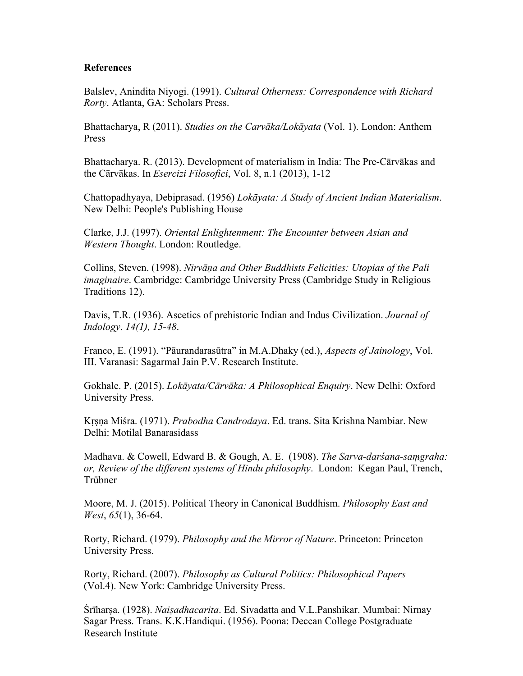### **References**

Balslev, Anindita Niyogi. (1991). *Cultural Otherness: Correspondence with Richard Rorty*. Atlanta, GA: Scholars Press.

Bhattacharya, R (2011). *Studies on the Carvāka/Lokāyata* (Vol. 1). London: Anthem Press

Bhattacharya. R. (2013). Development of materialism in India: The Pre-Cārvākas and the Cārvākas. In *Esercizi Filosofici*, Vol. 8, n.1 (2013), 1-12

Chattopadhyaya, Debiprasad. (1956) *Lokāyata: A Study of Ancient Indian Materialism*. New Delhi: People's Publishing House

Clarke, J.J. (1997). *Oriental Enlightenment: The Encounter between Asian and Western Thought*. London: Routledge.

Collins, Steven. (1998). *Nirvāṇa and Other Buddhists Felicities: Utopias of the Pali imaginaire*. Cambridge: Cambridge University Press (Cambridge Study in Religious Traditions 12).

Davis, T.R. (1936). Ascetics of prehistoric Indian and Indus Civilization. *Journal of Indology*. *14(1), 15-48*.

Franco, E. (1991). "Pāurandarasūtra" in M.A.Dhaky (ed.), *Aspects of Jainology*, Vol. III. Varanasi: Sagarmal Jain P.V. Research Institute.

Gokhale. P. (2015). *Lokāyata/Cārvāka: A Philosophical Enquiry*. New Delhi: Oxford University Press.

Kṛṣṇa Miśra. (1971). *Prabodha Candrodaya*. Ed. trans. Sita Krishna Nambiar. New Delhi: Motilal Banarasidass

Madhava. & Cowell, Edward B. & Gough, A. E. (1908). *The Sarva-darśana-saṃgraha: or, Review of the different systems of Hindu philosophy*. London: Kegan Paul, Trench, Trübner

Moore, M. J. (2015). Political Theory in Canonical Buddhism. *Philosophy East and West*, *65*(1), 36-64.

Rorty, Richard. (1979). *Philosophy and the Mirror of Nature*. Princeton: Princeton University Press.

Rorty, Richard. (2007). *Philosophy as Cultural Politics: Philosophical Papers* (Vol.4). New York: Cambridge University Press.

Śrīharṣa. (1928). *Naiṣadhacarita*. Ed. Sivadatta and V.L.Panshikar. Mumbai: Nirnay Sagar Press. Trans. K.K.Handiqui. (1956). Poona: Deccan College Postgraduate Research Institute